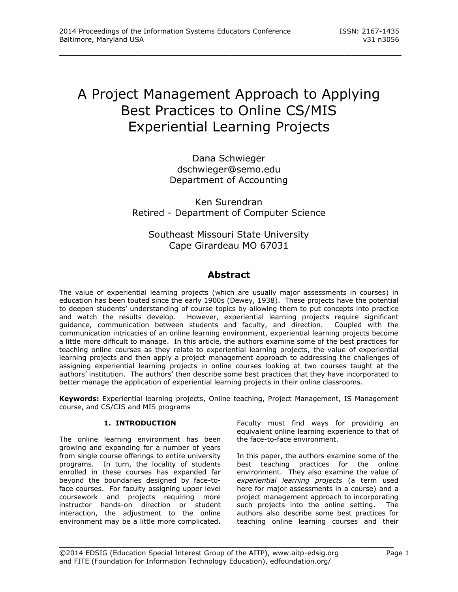# A Project Management Approach to Applying Best Practices to Online CS/MIS Experiential Learning Projects

\_\_\_\_\_\_\_\_\_\_\_\_\_\_\_\_\_\_\_\_\_\_\_\_\_\_\_\_\_\_\_\_\_\_\_\_\_\_\_\_\_\_\_\_\_\_\_\_

Dana Schwieger dschwieger@semo.edu Department of Accounting

Ken Surendran Retired - Department of Computer Science

Southeast Missouri State University Cape Girardeau MO 67031

## **Abstract**

The value of experiential learning projects (which are usually major assessments in courses) in education has been touted since the early 1900s (Dewey, 1938). These projects have the potential to deepen students' understanding of course topics by allowing them to put concepts into practice and watch the results develop. However, experiential learning projects require significant guidance, communication between students and faculty, and direction. Coupled with the communication intricacies of an online learning environment, experiential learning projects become a little more difficult to manage. In this article, the authors examine some of the best practices for teaching online courses as they relate to experiential learning projects, the value of experiential learning projects and then apply a project management approach to addressing the challenges of assigning experiential learning projects in online courses looking at two courses taught at the authors' institution. The authors' then describe some best practices that they have incorporated to better manage the application of experiential learning projects in their online classrooms.

**Keywords:** Experiential learning projects, Online teaching, Project Management, IS Management course, and CS/CIS and MIS programs

## **1. INTRODUCTION**

The online learning environment has been growing and expanding for a number of years from single course offerings to entire university programs. In turn, the locality of students enrolled in these courses has expanded far beyond the boundaries designed by face-toface courses. For faculty assigning upper level coursework and projects requiring more instructor hands-on direction or student interaction, the adjustment to the online environment may be a little more complicated. Faculty must find ways for providing an equivalent online learning experience to that of the face-to-face environment.

In this paper, the authors examine some of the best teaching practices for the online environment. They also examine the value of *experiential learning projects* (a term used here for major assessments in a course) and a project management approach to incorporating such projects into the online setting. The authors also describe some best practices for teaching online learning courses and their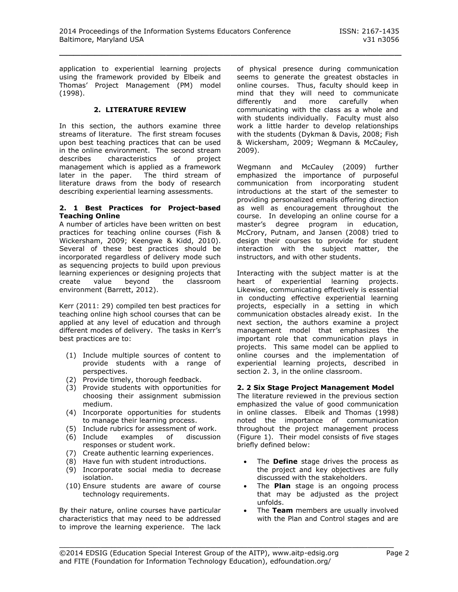application to experiential learning projects using the framework provided by Elbeik and Thomas' Project Management (PM) model (1998).

## **2. LITERATURE REVIEW**

In this section, the authors examine three streams of literature. The first stream focuses upon best teaching practices that can be used in the online environment. The second stream describes characteristics of project management which is applied as a framework later in the paper. The third stream of literature draws from the body of research describing experiential learning assessments.

#### **2. 1 Best Practices for Project-based Teaching Online**

A number of articles have been written on best practices for teaching online courses (Fish & Wickersham, 2009; Keengwe & Kidd, 2010). Several of these best practices should be incorporated regardless of delivery mode such as sequencing projects to build upon previous learning experiences or designing projects that create value beyond the classroom environment (Barrett, 2012).

Kerr (2011: 29) compiled ten best practices for teaching online high school courses that can be applied at any level of education and through different modes of delivery. The tasks in Kerr's best practices are to:

- (1) Include multiple sources of content to provide students with a range of perspectives.
- (2) Provide timely, thorough feedback.
- (3) Provide students with opportunities for choosing their assignment submission medium.
- (4) Incorporate opportunities for students to manage their learning process.
- (5) Include rubrics for assessment of work.
- (6) Include examples of discussion responses or student work.
- (7) Create authentic learning experiences.
- (8) Have fun with student introductions.
- (9) Incorporate social media to decrease isolation.
- (10) Ensure students are aware of course technology requirements.

By their nature, online courses have particular characteristics that may need to be addressed to improve the learning experience. The lack of physical presence during communication seems to generate the greatest obstacles in online courses. Thus, faculty should keep in mind that they will need to communicate differently and more carefully when communicating with the class as a whole and with students individually. Faculty must also work a little harder to develop relationships with the students (Dykman & Davis, 2008; Fish & Wickersham, 2009; Wegmann & McCauley, 2009).

Wegmann and McCauley (2009) further emphasized the importance of purposeful communication from incorporating student introductions at the start of the semester to providing personalized emails offering direction as well as encouragement throughout the course. In developing an online course for a master's degree program in education, McCrory, Putnam, and Jansen (2008) tried to design their courses to provide for student interaction with the subject matter, the instructors, and with other students.

Interacting with the subject matter is at the heart of experiential learning projects. Likewise, communicating effectively is essential in conducting effective experiential learning projects, especially in a setting in which communication obstacles already exist. In the next section, the authors examine a project management model that emphasizes the important role that communication plays in projects. This same model can be applied to online courses and the implementation of experiential learning projects, described in section 2. 3, in the online classroom.

## **2. 2 Six Stage Project Management Model**

The literature reviewed in the previous section emphasized the value of good communication in online classes. Elbeik and Thomas (1998) noted the importance of communication throughout the project management process (Figure 1). Their model consists of five stages briefly defined below:

- The **Define** stage drives the process as the project and key objectives are fully discussed with the stakeholders.
- The **Plan** stage is an ongoing process that may be adjusted as the project unfolds.
- The **Team** members are usually involved with the Plan and Control stages and are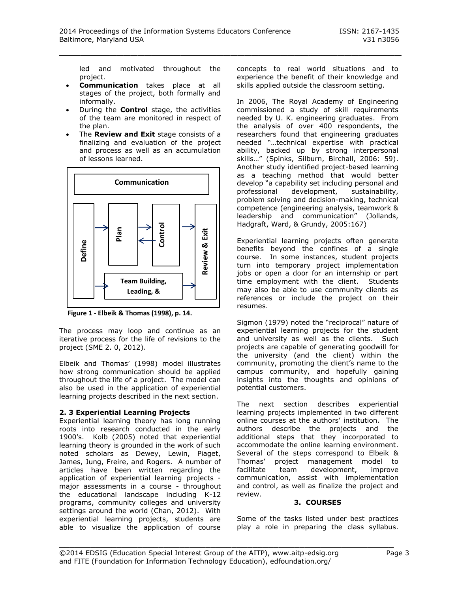led and motivated throughout the project.

- **Communication** takes place at all stages of the project, both formally and informally.
- During the **Control** stage, the activities of the team are monitored in respect of the plan.
- The **Review and Exit** stage consists of a finalizing and evaluation of the project and process as well as an accumulation of lessons learned.



**Figure 1 - Elbeik & Thomas (1998), p. 14.**

The process may loop and continue as an iterative process for the life of revisions to the project (SME 2. 0, 2012).

Elbeik and Thomas' (1998) model illustrates how strong communication should be applied throughout the life of a project. The model can also be used in the application of experiential learning projects described in the next section.

## **2. 3 Experiential Learning Projects**

Experiential learning theory has long running roots into research conducted in the early 1900's. Kolb (2005) noted that experiential learning theory is grounded in the work of such noted scholars as Dewey, Lewin, Piaget, James, Jung, Freire, and Rogers. A number of articles have been written regarding the application of experiential learning projects major assessments in a course - throughout the educational landscape including K-12 programs, community colleges and university settings around the world (Chan, 2012). With experiential learning projects, students are able to visualize the application of course concepts to real world situations and to experience the benefit of their knowledge and skills applied outside the classroom setting.

In 2006, The Royal Academy of Engineering commissioned a study of skill requirements needed by U. K. engineering graduates. From the analysis of over 400 respondents, the researchers found that engineering graduates needed "…technical expertise with practical ability, backed up by strong interpersonal skills…" (Spinks, Silburn, Birchall, 2006: 59). Another study identified project-based learning as a teaching method that would better develop "a capability set including personal and professional development, sustainability, problem solving and decision-making, technical competence (engineering analysis, teamwork & leadership and communication" (Jollands, Hadgraft, Ward, & Grundy, 2005:167)

Experiential learning projects often generate benefits beyond the confines of a single course. In some instances, student projects turn into temporary project implementation jobs or open a door for an internship or part time employment with the client. Students may also be able to use community clients as references or include the project on their resumes.

Sigmon (1979) noted the "reciprocal" nature of experiential learning projects for the student and university as well as the clients. Such projects are capable of generating goodwill for the university (and the client) within the community, promoting the client's name to the campus community, and hopefully gaining insights into the thoughts and opinions of potential customers.

The next section describes experiential learning projects implemented in two different online courses at the authors' institution. The authors describe the projects and the additional steps that they incorporated to accommodate the online learning environment. Several of the steps correspond to Elbeik & Thomas' project management model to facilitate team development, improve communication, assist with implementation and control, as well as finalize the project and review.

## **3. COURSES**

Some of the tasks listed under best practices play a role in preparing the class syllabus.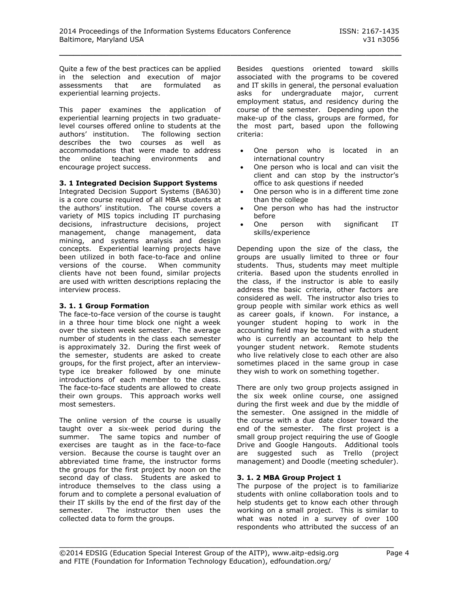Quite a few of the best practices can be applied in the selection and execution of major assessments that are formulated as experiential learning projects.

This paper examines the application of experiential learning projects in two graduatelevel courses offered online to students at the authors' institution. The following section describes the two courses as well as accommodations that were made to address the online teaching environments and encourage project success.

## **3. 1 Integrated Decision Support Systems**

Integrated Decision Support Systems (BA630) is a core course required of all MBA students at the authors' institution. The course covers a variety of MIS topics including IT purchasing decisions, infrastructure decisions, project management, change management, data mining, and systems analysis and design concepts. Experiential learning projects have been utilized in both face-to-face and online versions of the course. When community clients have not been found, similar projects are used with written descriptions replacing the interview process.

## **3. 1. 1 Group Formation**

The face-to-face version of the course is taught in a three hour time block one night a week over the sixteen week semester. The average number of students in the class each semester is approximately 32. During the first week of the semester, students are asked to create groups, for the first project, after an interviewtype ice breaker followed by one minute introductions of each member to the class. The face-to-face students are allowed to create their own groups. This approach works well most semesters.

The online version of the course is usually taught over a six-week period during the summer. The same topics and number of exercises are taught as in the face-to-face version. Because the course is taught over an abbreviated time frame, the instructor forms the groups for the first project by noon on the second day of class. Students are asked to introduce themselves to the class using a forum and to complete a personal evaluation of their IT skills by the end of the first day of the semester. The instructor then uses the collected data to form the groups.

Besides questions oriented toward skills associated with the programs to be covered and IT skills in general, the personal evaluation asks for undergraduate major, current employment status, and residency during the course of the semester. Depending upon the make-up of the class, groups are formed, for the most part, based upon the following criteria:

- One person who is located in an international country
- One person who is local and can visit the client and can stop by the instructor's office to ask questions if needed
- One person who is in a different time zone than the college
- One person who has had the instructor before
- One person with significant IT skills/experience

Depending upon the size of the class, the groups are usually limited to three or four students. Thus, students may meet multiple criteria. Based upon the students enrolled in the class, if the instructor is able to easily address the basic criteria, other factors are considered as well. The instructor also tries to group people with similar work ethics as well as career goals, if known. For instance, a younger student hoping to work in the accounting field may be teamed with a student who is currently an accountant to help the younger student network. Remote students who live relatively close to each other are also sometimes placed in the same group in case they wish to work on something together.

There are only two group projects assigned in the six week online course, one assigned during the first week and due by the middle of the semester. One assigned in the middle of the course with a due date closer toward the end of the semester. The first project is a small group project requiring the use of Google Drive and Google Hangouts. Additional tools are suggested such as Trello (project management) and Doodle (meeting scheduler).

## **3. 1. 2 MBA Group Project 1**

The purpose of the project is to familiarize students with online collaboration tools and to help students get to know each other through working on a small project. This is similar to what was noted in a survey of over 100 respondents who attributed the success of an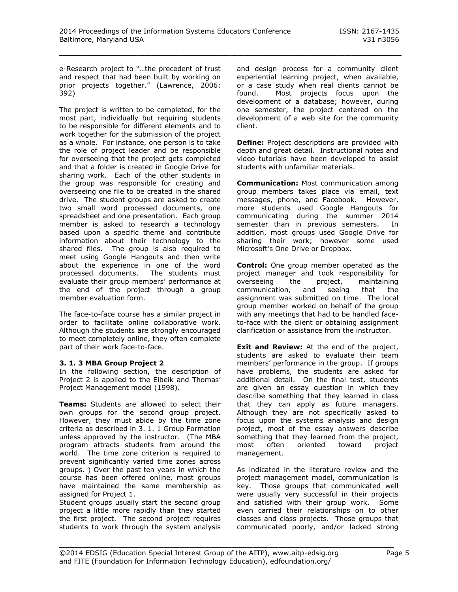e-Research project to "…the precedent of trust and respect that had been built by working on prior projects together." (Lawrence, 2006: 392)

The project is written to be completed, for the most part, individually but requiring students to be responsible for different elements and to work together for the submission of the project as a whole. For instance, one person is to take the role of project leader and be responsible for overseeing that the project gets completed and that a folder is created in Google Drive for sharing work. Each of the other students in the group was responsible for creating and overseeing one file to be created in the shared drive. The student groups are asked to create two small word processed documents, one spreadsheet and one presentation. Each group member is asked to research a technology based upon a specific theme and contribute information about their technology to the shared files. The group is also required to meet using Google Hangouts and then write about the experience in one of the word processed documents. The students must evaluate their group members' performance at the end of the project through a group member evaluation form.

The face-to-face course has a similar project in order to facilitate online collaborative work. Although the students are strongly encouraged to meet completely online, they often complete part of their work face-to-face.

#### **3. 1. 3 MBA Group Project 2**

In the following section, the description of Project 2 is applied to the Elbeik and Thomas' Project Management model (1998).

**Teams:** Students are allowed to select their own groups for the second group project. However, they must abide by the time zone criteria as described in 3. 1. 1 Group Formation unless approved by the instructor. (The MBA program attracts students from around the world. The time zone criterion is required to prevent significantly varied time zones across groups. ) Over the past ten years in which the course has been offered online, most groups have maintained the same membership as assigned for Project 1.

Student groups usually start the second group project a little more rapidly than they started the first project. The second project requires students to work through the system analysis and design process for a community client experiential learning project, when available, or a case study when real clients cannot be found. Most projects focus upon the development of a database; however, during one semester, the project centered on the development of a web site for the community client.

**Define:** Project descriptions are provided with depth and great detail. Instructional notes and video tutorials have been developed to assist students with unfamiliar materials.

**Communication:** Most communication among group members takes place via email, text messages, phone, and Facebook. However, more students used Google Hangouts for communicating during the summer 2014 semester than in previous semesters. In addition, most groups used Google Drive for sharing their work; however some used Microsoft's One Drive or Dropbox.

**Control:** One group member operated as the project manager and took responsibility for overseeing the project, maintaining communication, and seeing that the assignment was submitted on time. The local group member worked on behalf of the group with any meetings that had to be handled faceto-face with the client or obtaining assignment clarification or assistance from the instructor.

**Exit and Review:** At the end of the project, students are asked to evaluate their team members' performance in the group. If groups have problems, the students are asked for additional detail. On the final test, students are given an essay question in which they describe something that they learned in class that they can apply as future managers. Although they are not specifically asked to focus upon the systems analysis and design project, most of the essay answers describe something that they learned from the project, most often oriented toward project management.

As indicated in the literature review and the project management model, communication is key. Those groups that communicated well were usually very successful in their projects and satisfied with their group work. Some even carried their relationships on to other classes and class projects. Those groups that communicated poorly, and/or lacked strong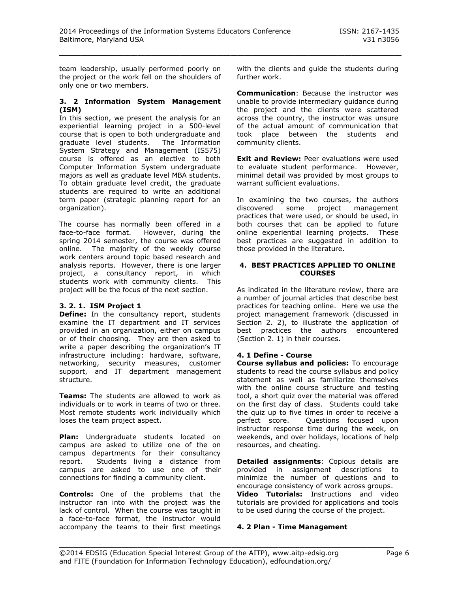team leadership, usually performed poorly on the project or the work fell on the shoulders of only one or two members.

#### **3. 2 Information System Management (ISM)**

In this section, we present the analysis for an experiential learning project in a 500-level course that is open to both undergraduate and graduate level students. The Information System Strategy and Management (IS575) course is offered as an elective to both Computer Information System undergraduate majors as well as graduate level MBA students. To obtain graduate level credit, the graduate students are required to write an additional term paper (strategic planning report for an organization).

The course has normally been offered in a face-to-face format. However, during the spring 2014 semester, the course was offered online. The majority of the weekly course work centers around topic based research and analysis reports. However, there is one larger project, a consultancy report, in which students work with community clients. This project will be the focus of the next section.

## **3. 2. 1. ISM Project 1**

**Define:** In the consultancy report, students examine the IT department and IT services provided in an organization, either on campus or of their choosing. They are then asked to write a paper describing the organization's IT infrastructure including: hardware, software, networking, security measures, customer support, and IT department management structure.

**Teams:** The students are allowed to work as individuals or to work in teams of two or three. Most remote students work individually which loses the team project aspect.

**Plan:** Undergraduate students located on campus are asked to utilize one of the on campus departments for their consultancy report. Students living a distance from campus are asked to use one of their connections for finding a community client.

**Controls:** One of the problems that the instructor ran into with the project was the lack of control. When the course was taught in a face-to-face format, the instructor would accompany the teams to their first meetings with the clients and guide the students during further work.

**Communication**: Because the instructor was unable to provide intermediary guidance during the project and the clients were scattered across the country, the instructor was unsure of the actual amount of communication that took place between the students and community clients.

**Exit and Review:** Peer evaluations were used to evaluate student performance. However, minimal detail was provided by most groups to warrant sufficient evaluations.

In examining the two courses, the authors discovered some project management practices that were used, or should be used, in both courses that can be applied to future online experiential learning projects. These best practices are suggested in addition to those provided in the literature.

#### **4. BEST PRACTICES APPLIED TO ONLINE COURSES**

As indicated in the literature review, there are a number of journal articles that describe best practices for teaching online. Here we use the project management framework (discussed in Section 2. 2), to illustrate the application of best practices the authors encountered (Section 2. 1) in their courses.

## **4. 1 Define - Course**

**Course syllabus and policies:** To encourage students to read the course syllabus and policy statement as well as familiarize themselves with the online course structure and testing tool, a short quiz over the material was offered on the first day of class. Students could take the quiz up to five times in order to receive a perfect score. Questions focused upon instructor response time during the week, on weekends, and over holidays, locations of help resources, and cheating.

**Detailed assignments**: Copious details are provided in assignment descriptions to minimize the number of questions and to encourage consistency of work across groups. **Video Tutorials:** Instructions and video tutorials are provided for applications and tools to be used during the course of the project.

#### **4. 2 Plan - Time Management**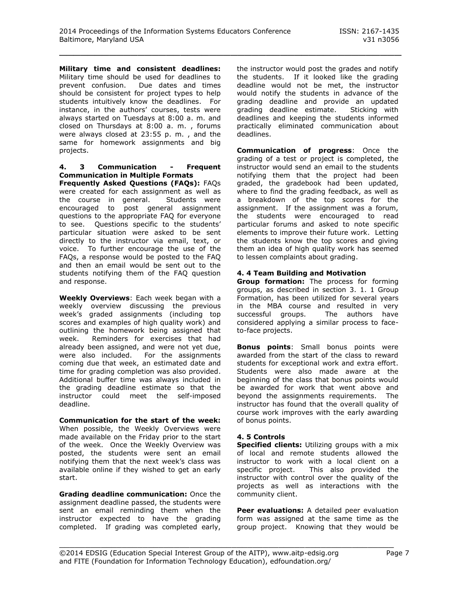**Military time and consistent deadlines:** Military time should be used for deadlines to prevent confusion. Due dates and times should be consistent for project types to help students intuitively know the deadlines. For instance, in the authors' courses, tests were always started on Tuesdays at 8:00 a. m. and closed on Thursdays at 8:00 a. m. , forums were always closed at 23:55 p. m. , and the same for homework assignments and big projects.

## **4. 3 Communication - Frequent Communication in Multiple Formats**

**Frequently Asked Questions (FAQs):** FAQs were created for each assignment as well as the course in general. Students were encouraged to post general assignment questions to the appropriate FAQ for everyone to see. Questions specific to the students' particular situation were asked to be sent directly to the instructor via email, text, or voice. To further encourage the use of the FAQs, a response would be posted to the FAQ and then an email would be sent out to the students notifying them of the FAQ question and response.

**Weekly Overviews**: Each week began with a weekly overview discussing the previous week's graded assignments (including top scores and examples of high quality work) and outlining the homework being assigned that week. Reminders for exercises that had already been assigned, and were not yet due, were also included. For the assignments coming due that week, an estimated date and time for grading completion was also provided. Additional buffer time was always included in the grading deadline estimate so that the instructor could meet the self-imposed deadline.

**Communication for the start of the week:** When possible, the Weekly Overviews were made available on the Friday prior to the start of the week. Once the Weekly Overview was posted, the students were sent an email notifying them that the next week's class was available online if they wished to get an early start.

**Grading deadline communication:** Once the assignment deadline passed, the students were sent an email reminding them when the instructor expected to have the grading completed. If grading was completed early,

the instructor would post the grades and notify the students. If it looked like the grading deadline would not be met, the instructor would notify the students in advance of the grading deadline and provide an updated grading deadline estimate. Sticking with deadlines and keeping the students informed practically eliminated communication about deadlines.

**Communication of progress**: Once the grading of a test or project is completed, the instructor would send an email to the students notifying them that the project had been graded, the gradebook had been updated, where to find the grading feedback, as well as a breakdown of the top scores for the assignment. If the assignment was a forum, the students were encouraged to read particular forums and asked to note specific elements to improve their future work. Letting the students know the top scores and giving them an idea of high quality work has seemed to lessen complaints about grading.

## **4. 4 Team Building and Motivation**

**Group formation:** The process for forming groups, as described in section 3. 1. 1 Group Formation, has been utilized for several years in the MBA course and resulted in very successful groups. The authors have considered applying a similar process to faceto-face projects.

**Bonus points**: Small bonus points were awarded from the start of the class to reward students for exceptional work and extra effort. Students were also made aware at the beginning of the class that bonus points would be awarded for work that went above and beyond the assignments requirements. The instructor has found that the overall quality of course work improves with the early awarding of bonus points.

#### **4. 5 Controls**

**Specified clients:** Utilizing groups with a mix of local and remote students allowed the instructor to work with a local client on a specific project. This also provided the instructor with control over the quality of the projects as well as interactions with the community client.

**Peer evaluations:** A detailed peer evaluation form was assigned at the same time as the group project. Knowing that they would be